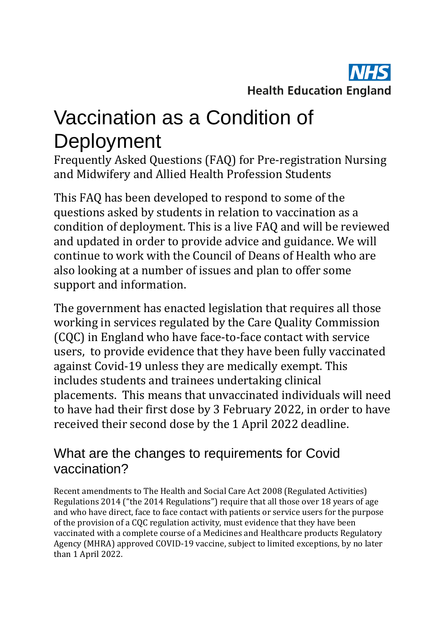

## Vaccination as a Condition of **Deployment**

Frequently Asked Questions (FAQ) for Pre-registration Nursing and Midwifery and Allied Health Profession Students

This FAQ has been developed to respond to some of the questions asked by students in relation to vaccination as a condition of deployment. This is a live FAQ and will be reviewed and updated in order to provide advice and guidance. We will continue to work with the Council of Deans of Health who are also looking at a number of issues and plan to offer some support and information.

The government has enacted legislation that requires all those working in services regulated by the Care Quality Commission (CQC) in England who have face-to-face contact with service users, to provide evidence that they have been fully vaccinated against Covid-19 unless they are medically exempt. This includes students and trainees undertaking clinical placements. This means that unvaccinated individuals will need to have had their first dose by 3 February 2022, in order to have received their second dose by the 1 April 2022 deadline.

#### What are the changes to requirements for Covid vaccination?

Recent amendments to The Health and Social Care Act 2008 (Regulated Activities) Regulations 2014 ("the 2014 Regulations") require that all those over 18 years of age and who have direct, face to face contact with patients or service users for the purpose of the provision of a CQC regulation activity, must evidence that they have been vaccinated with a complete course of a Medicines and Healthcare products Regulatory Agency (MHRA) approved COVID-19 vaccine, subject to limited exceptions, by no later than 1 April 2022.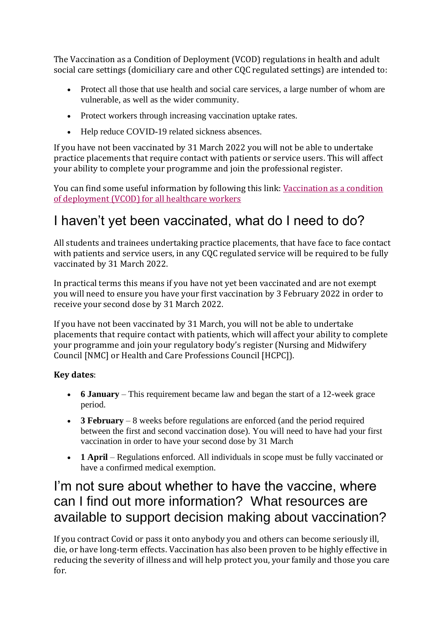The Vaccination as a Condition of Deployment (VCOD) regulations in health and adult social care settings (domiciliary care and other CQC regulated settings) are intended to:

- Protect all those that use health and social care services, a large number of whom are vulnerable, as well as the wider community.
- Protect workers through increasing vaccination uptake rates.
- Help reduce COVID-19 related sickness absences.

If you have not been vaccinated by 31 March 2022 you will not be able to undertake practice placements that require contact with patients or service users. This will affect your ability to complete your programme and join the professional register.

You can find some useful information by following this link: [Vaccination as a condition](https://www.england.nhs.uk/coronavirus/covid-19-vaccination-programme/vaccination-as-a-condition-of-deployment-for-all-healthcare-workers/)  [of deployment \(VCOD\) for all healthcare workers](https://www.england.nhs.uk/coronavirus/covid-19-vaccination-programme/vaccination-as-a-condition-of-deployment-for-all-healthcare-workers/)

### I haven't yet been vaccinated, what do I need to do?

All students and trainees undertaking practice placements, that have face to face contact with patients and service users, in any CQC regulated service will be required to be fully vaccinated by 31 March 2022.

In practical terms this means if you have not yet been vaccinated and are not exempt you will need to ensure you have your first vaccination by 3 February 2022 in order to receive your second dose by 31 March 2022.

If you have not been vaccinated by 31 March, you will not be able to undertake placements that require contact with patients, which will affect your ability to complete your programme and join your regulatory body's register (Nursing and Midwifery Council [NMC] or Health and Care Professions Council [HCPC]).

#### **Key dates**:

- **6 January** This requirement became law and began the start of a 12-week grace period.
- **3 February** 8 weeks before regulations are enforced (and the period required between the first and second vaccination dose). You will need to have had your first vaccination in order to have your second dose by 31 March
- **1 April** Regulations enforced. All individuals in scope must be fully vaccinated or have a confirmed medical exemption.

#### I'm not sure about whether to have the vaccine, where can I find out more information? What resources are available to support decision making about vaccination?

If you contract Covid or pass it onto anybody you and others can become seriously ill, die, or have long-term effects. Vaccination has also been proven to be highly effective in reducing the severity of illness and will help protect you, your family and those you care for.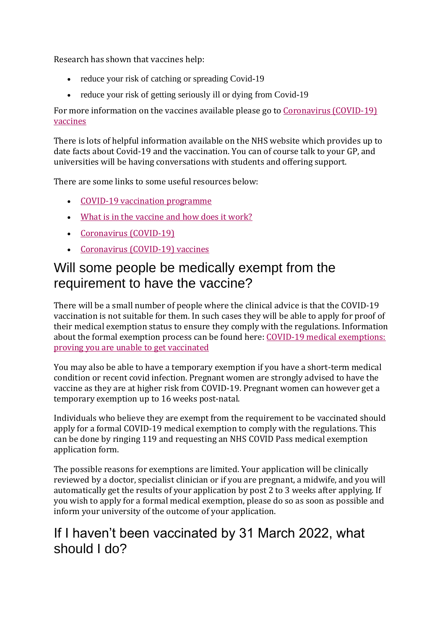Research has shown that vaccines help:

- reduce your risk of catching or spreading Covid-19
- reduce your risk of getting seriously ill or dying from Covid-19

For more information on the vaccines available please go to [Coronavirus \(COVID-19\)](https://www.nhs.uk/conditions/coronavirus-covid-19/coronavirus-vaccination/coronavirus-vaccine/)  [vaccines](https://www.nhs.uk/conditions/coronavirus-covid-19/coronavirus-vaccination/coronavirus-vaccine/)

There is lots of helpful information available on the NHS website which provides up to date facts about Covid-19 and the vaccination. You can of course talk to your GP, and universities will be having conversations with students and offering support.

There are some links to some useful resources below:

- [COVID-19 vaccination programme](https://www.gov.uk/government/collections/covid-19-vaccination-programme)
- [What is in the vaccine and how does it work?](https://www.youtube.com/watch?v=zgtWpwkS9u4&list=PLnhASgDToTktp2Hijdyeo2fsI6Agcn1ul&index=6)
- [Coronavirus \(COVID-19\)](https://www.nhs.uk/conditions/coronavirus-covid-19/)
- [Coronavirus \(COVID-19\) vaccines](https://www.nhs.uk/conditions/coronavirus-covid-19/coronavirus-vaccination/coronavirus-vaccine/)

#### Will some people be medically exempt from the requirement to have the vaccine?

There will be a small number of people where the clinical advice is that the COVID-19 vaccination is not suitable for them. In such cases they will be able to apply for proof of their medical exemption status to ensure they comply with the regulations. Information about the formal exemption process can be found here: COVID-19 medical exemptions: [proving you are unable to get vaccinated](https://www.gov.uk/guidance/covid-19-medical-exemptions-proving-you-are-unable-to-get-vaccinated)

You may also be able to have a temporary exemption if you have a short-term medical condition or recent covid infection. Pregnant women are strongly advised to have the vaccine as they are at higher risk from COVID-19. Pregnant women can however get a temporary exemption up to 16 weeks post-natal.

Individuals who believe they are exempt from the requirement to be vaccinated should apply for a formal COVID-19 medical exemption to comply with the regulations. This can be done by ringing 119 and requesting an NHS COVID Pass medical exemption application form.

The possible reasons for exemptions are limited. Your application will be clinically reviewed by a doctor, specialist clinician or if you are pregnant, a midwife, and you will automatically get the results of your application by post 2 to 3 weeks after applying. If you wish to apply for a formal medical exemption, please do so as soon as possible and inform your university of the outcome of your application.

#### If I haven't been vaccinated by 31 March 2022, what should I do?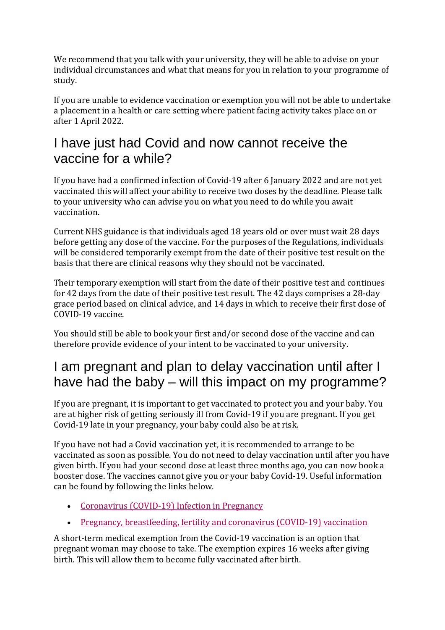We recommend that you talk with your university, they will be able to advise on your individual circumstances and what that means for you in relation to your programme of study.

If you are unable to evidence vaccination or exemption you will not be able to undertake a placement in a health or care setting where patient facing activity takes place on or after 1 April 2022.

#### I have just had Covid and now cannot receive the vaccine for a while?

If you have had a confirmed infection of Covid-19 after 6 January 2022 and are not yet vaccinated this will affect your ability to receive two doses by the deadline. Please talk to your university who can advise you on what you need to do while you await vaccination.

Current NHS guidance is that individuals aged 18 years old or over must wait 28 days before getting any dose of the vaccine. For the purposes of the Regulations, individuals will be considered temporarily exempt from the date of their positive test result on the basis that there are clinical reasons why they should not be vaccinated.

Their temporary exemption will start from the date of their positive test and continues for 42 days from the date of their positive test result. The 42 days comprises a 28-day grace period based on clinical advice, and 14 days in which to receive their first dose of COVID-19 vaccine.

You should still be able to book your first and/or second dose of the vaccine and can therefore provide evidence of your intent to be vaccinated to your university.

#### I am pregnant and plan to delay vaccination until after I have had the baby – will this impact on my programme?

If you are pregnant, it is important to get vaccinated to protect you and your baby. You are at higher risk of getting seriously ill from Covid-19 if you are pregnant. If you get Covid-19 late in your pregnancy, your baby could also be at risk.

If you have not had a Covid vaccination yet, it is recommended to arrange to be vaccinated as soon as possible. You do not need to delay vaccination until after you have given birth. If you had your second dose at least three months ago, you can now book a booster dose. The vaccines cannot give you or your baby Covid-19. Useful information can be found by following the links below.

- [Coronavirus \(COVID-19\) Infection in Pregnancy](https://www.rcm.org.uk/media/5722/2021-12-06-coronavirus-covid-19-infection-in-pregnancy-v142.pdf)
- [Pregnancy, breastfeeding, fertility and coronavirus \(COVID-19\) vaccination](https://www.nhs.uk/conditions/coronavirus-covid-19/coronavirus-vaccination/pregnancy-breastfeeding-fertility-and-coronavirus-covid-19-vaccination/)

A short-term medical exemption from the Covid-19 vaccination is an option that pregnant woman may choose to take. The exemption expires 16 weeks after giving birth. This will allow them to become fully vaccinated after birth.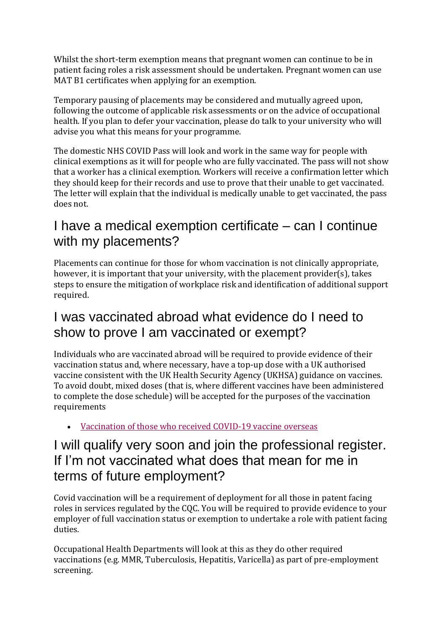Whilst the short-term exemption means that pregnant women can continue to be in patient facing roles a risk assessment should be undertaken. Pregnant women can use MAT B1 certificates when applying for an exemption.

Temporary pausing of placements may be considered and mutually agreed upon, following the outcome of applicable risk assessments or on the advice of occupational health. If you plan to defer your vaccination, please do talk to your university who will advise you what this means for your programme.

The domestic NHS COVID Pass will look and work in the same way for people with clinical exemptions as it will for people who are fully vaccinated. The pass will not show that a worker has a clinical exemption. Workers will receive a confirmation letter which they should keep for their records and use to prove that their unable to get vaccinated. The letter will explain that the individual is medically unable to get vaccinated, the pass does not.

#### I have a medical exemption certificate – can I continue with my placements?

Placements can continue for those for whom vaccination is not clinically appropriate, however, it is important that your university, with the placement provider(s), takes steps to ensure the mitigation of workplace risk and identification of additional support required.

#### I was vaccinated abroad what evidence do I need to show to prove I am vaccinated or exempt?

Individuals who are vaccinated abroad will be required to provide evidence of their vaccination status and, where necessary, have a top-up dose with a UK authorised vaccine consistent with the UK Health Security Agency (UKHSA) guidance on vaccines. To avoid doubt, mixed doses (that is, where different vaccines have been administered to complete the dose schedule) will be accepted for the purposes of the vaccination requirements

• [Vaccination of those who received COVID-19 vaccine overseas](https://assets.publishing.service.gov.uk/government/uploads/system/uploads/attachment_data/file/1041770/covid-19-vaccination-of-individuals-vaccinated-overseas.pdf)

#### I will qualify very soon and join the professional register. If I'm not vaccinated what does that mean for me in terms of future employment?

Covid vaccination will be a requirement of deployment for all those in patent facing roles in services regulated by the CQC. You will be required to provide evidence to your employer of full vaccination status or exemption to undertake a role with patient facing duties.

Occupational Health Departments will look at this as they do other required vaccinations (e.g. MMR, Tuberculosis, Hepatitis, Varicella) as part of pre-employment screening.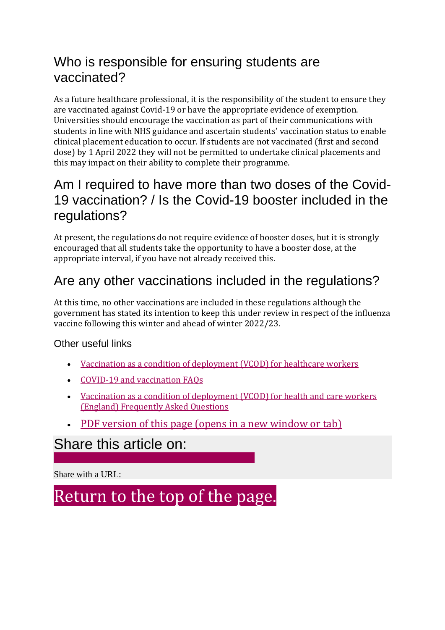#### Who is responsible for ensuring students are vaccinated?

As a future healthcare professional, it is the responsibility of the student to ensure they are vaccinated against Covid-19 or have the appropriate evidence of exemption. Universities should encourage the vaccination as part of their communications with students in line with NHS guidance and ascertain students' vaccination status to enable clinical placement education to occur. If students are not vaccinated (first and second dose) by 1 April 2022 they will not be permitted to undertake clinical placements and this may impact on their ability to complete their programme.

#### Am I required to have more than two doses of the Covid-19 vaccination? / Is the Covid-19 booster included in the regulations?

At present, the regulations do not require evidence of booster doses, but it is strongly encouraged that all students take the opportunity to have a booster dose, at the appropriate interval, if you have not already received this.

#### Are any other vaccinations included in the regulations?

At this time, no other vaccinations are included in these regulations although the government has stated its intention to keep this under review in respect of the influenza vaccine following this winter and ahead of winter 2022/23.

#### Other useful links

- [Vaccination as a condition of deployment \(VCOD\) for healthcare workers](https://www.england.nhs.uk/coronavirus/wp-content/uploads/sites/52/2022/01/C1547-vcod-faqs.pdf)
- [COVID-19 and vaccination FAQs](https://www.rcn.org.uk/get-help/rcn-advice/covid-19-and-vaccination)
- [Vaccination as a condition of deployment \(VCOD\) for health and care workers](https://www.unison.org.uk/health-news/2022/01/mandatory-covid-vaccination-of-health-and-care-workers-england/)  [\(England\) Frequently Asked Questions](https://www.unison.org.uk/health-news/2022/01/mandatory-covid-vaccination-of-health-and-care-workers-england/)
- [PDF version of this page \(opens in a new window or tab\)](https://www.hee.nhs.uk/printpdf/covid-19/vaccination-condition-deployment)

#### Share this article on:

Share with a URL:

[Return to the top of the page.](https://www.hee.nhs.uk/covid-19/vaccination-condition-deployment#skip-link)